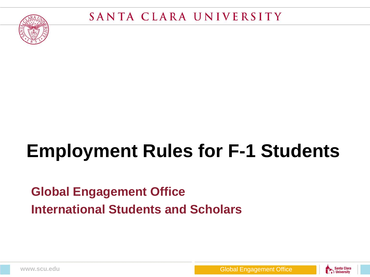

## **Employment Rules for F-1 Students**

#### **Global Engagement Office International Students and Scholars**



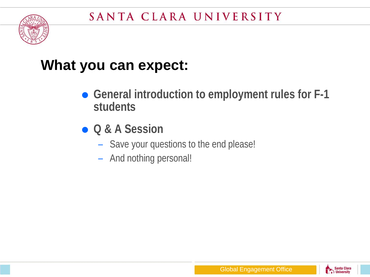

#### **What you can expect:**

- General introduction to employment rules for F-1 **students**
- **Q & A Session**
	- Save your questions to the end please!
	- And nothing personal!

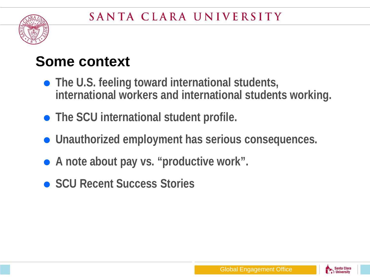

#### **Some context**

- **The U.S. feeling toward international students, international workers and international students working.**
- **The SCU international student profile.**
- **Unauthorized employment has serious consequences.**
- **A note about pay vs. "productive work".**
- **SCU Recent Success Stories**

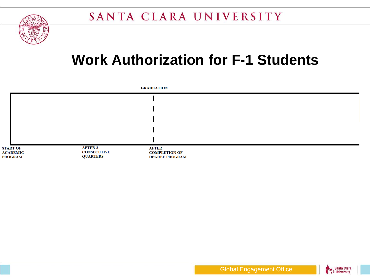

#### **Work Authorization for F-1 Students**



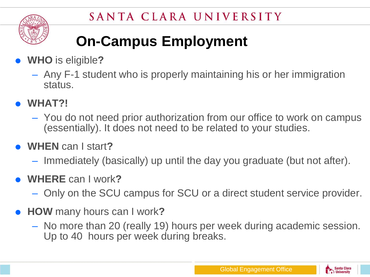

## **On-Campus Employment**

- **WHO** is eligible**?** 
	- Any F-1 student who is properly maintaining his or her immigration status.
- **WHAT?!** 
	- You do not need prior authorization from our office to work on campus (essentially). It does not need to be related to your studies.
- **WHEN** can I start**?**
	- Immediately (basically) up until the day you graduate (but not after).
- **WHERE** can I work**?** 
	- Only on the SCU campus for SCU or a direct student service provider.
- **HOW** many hours can I work**?** 
	- No more than 20 (really 19) hours per week during academic session. Up to 40 hours per week during breaks.

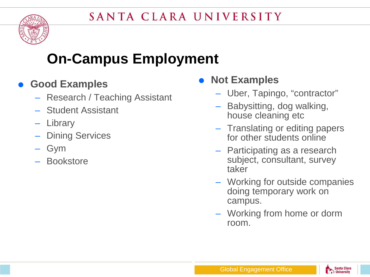

#### **On-Campus Employment**

#### **Good Examples**

- Research / Teaching Assistant
- Student Assistant
- Library
- Dining Services
- Gym
- Bookstore

#### **Not Examples**

- Uber, Tapingo, "contractor"
- Babysitting, dog walking, house cleaning etc
- Translating or editing papers for other students online
- Participating as a research subject, consultant, survey taker
- Working for outside companies doing temporary work on campus.
- Working from home or dorm room.

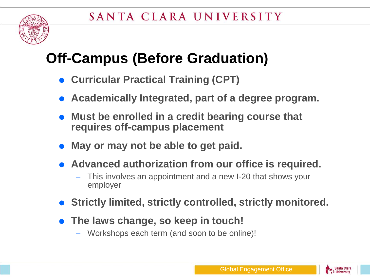

#### **Off-Campus (Before Graduation)**

- **Curricular Practical Training (CPT)**
- **Academically Integrated, part of a degree program.**
- **Must be enrolled in a credit bearing course that requires off-campus placement**
- **May or may not be able to get paid.**
- **Advanced authorization from our office is required.**
	- This involves an appointment and a new I-20 that shows your employer
- **Strictly limited, strictly controlled, strictly monitored.**
- **The laws change, so keep in touch!**
	- Workshops each term (and soon to be online)!

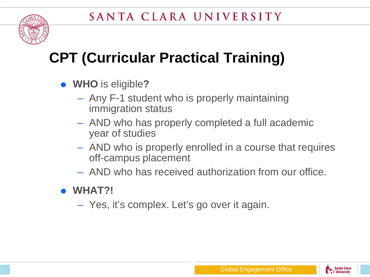

## **CPT (Curricular Practical Training)**

- **WHO** is eligible**?** 
	- Any F-1 student who is properly maintaining immigration status
	- AND who has properly completed a full academic year of studies
	- AND who is properly enrolled in a course that requires off-campus placement
	- AND who has received authorization from our office.

#### **WHAT?!**

– Yes, it's complex. Let's go over it again.

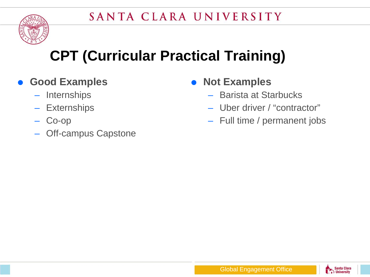

## **CPT (Curricular Practical Training)**

- **Good Examples**
	- Internships
	- Externships
	- Co-op
	- Off-campus Capstone
- **Not Examples**
	- Barista at Starbucks
	- Uber driver / "contractor"
	- Full time / permanent jobs

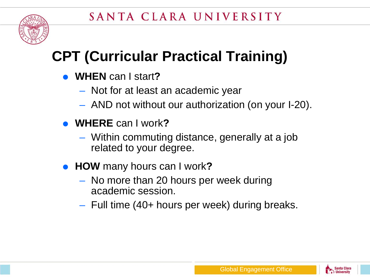

## **CPT (Curricular Practical Training)**

- **WHEN** can I start**?**
	- Not for at least an academic year
	- AND not without our authorization (on your I-20).
- **WHERE** can I work**?** 
	- Within commuting distance, generally at a job related to your degree.
- **HOW** many hours can I work**?** 
	- No more than 20 hours per week during academic session.
	- Full time (40+ hours per week) during breaks.

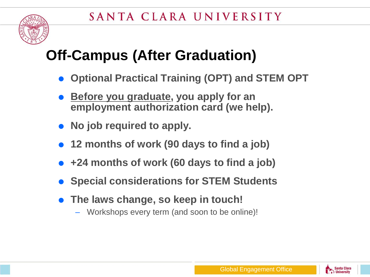

#### **Off-Campus (After Graduation)**

- **Optional Practical Training (OPT) and STEM OPT**
- **Before you graduate, you apply for an employment authorization card (we help).**
- **No job required to apply.**
- **12 months of work (90 days to find a job)**
- **+24 months of work (60 days to find a job)**
- **Special considerations for STEM Students**
- **The laws change, so keep in touch!**
	- Workshops every term (and soon to be online)!

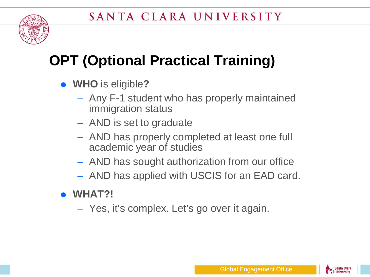

## **OPT (Optional Practical Training)**

- **WHO** is eligible**?** 
	- Any F-1 student who has properly maintained immigration status
	- AND is set to graduate
	- AND has properly completed at least one full academic year of studies
	- AND has sought authorization from our office
	- AND has applied with USCIS for an EAD card.
- **WHAT?!** 
	- Yes, it's complex. Let's go over it again.

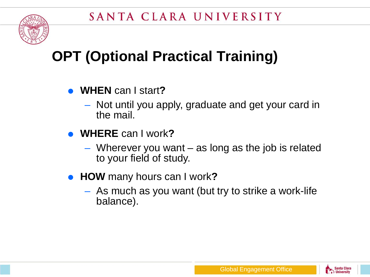

## **OPT (Optional Practical Training)**

- **WHEN** can I start**?**
	- Not until you apply, graduate and get your card in the mail.
- **WHERE** can I work**?** 
	- Wherever you want as long as the job is related to your field of study.
- **HOW** many hours can I work**?** 
	- As much as you want (but try to strike a work-life balance).

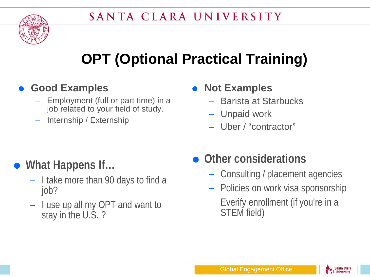## **OPT (Optional Practical Training)**

#### **Good Examples**

- Employment (full or part time) in a job related to your field of study.
- Internship / Externship
- **Not Examples**
	- Barista at Starbucks
	- Unpaid work
	- Uber / "contractor"

#### **What Happens If…**

- I take more than 90 days to find a job?
- I use up all my OPT and want to stay in the U.S. ?

#### **Other considerations**

- Consulting / placement agencies
- Policies on work visa sponsorship
- Everify enrollment (if you're in a STEM field)

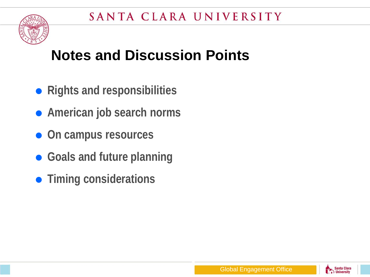

#### **Notes and Discussion Points**

- **Rights and responsibilities**
- **American job search norms**
- **On campus resources**
- **Goals and future planning**
- **Timing considerations**